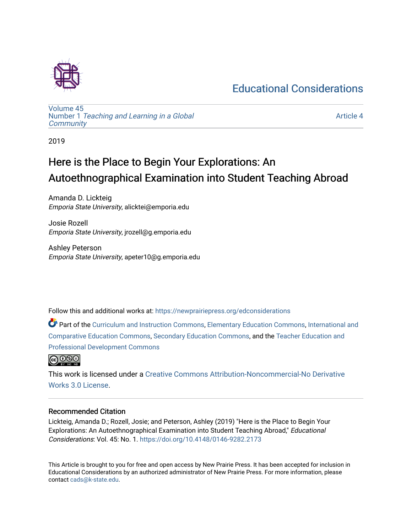# [Educational Considerations](https://newprairiepress.org/edconsiderations)



[Volume 45](https://newprairiepress.org/edconsiderations/vol45) Number 1 [Teaching and Learning in a Global](https://newprairiepress.org/edconsiderations/vol45/iss1)  **[Community](https://newprairiepress.org/edconsiderations/vol45/iss1)** 

[Article 4](https://newprairiepress.org/edconsiderations/vol45/iss1/4) 

2019

# Here is the Place to Begin Your Explorations: An Autoethnographical Examination into Student Teaching Abroad

Amanda D. Lickteig Emporia State University, alicktei@emporia.edu

Josie Rozell Emporia State University, jrozell@g.emporia.edu

Ashley Peterson Emporia State University, apeter10@g.emporia.edu

Follow this and additional works at: [https://newprairiepress.org/edconsiderations](https://newprairiepress.org/edconsiderations?utm_source=newprairiepress.org%2Fedconsiderations%2Fvol45%2Fiss1%2F4&utm_medium=PDF&utm_campaign=PDFCoverPages) 

Part of the [Curriculum and Instruction Commons,](http://network.bepress.com/hgg/discipline/786?utm_source=newprairiepress.org%2Fedconsiderations%2Fvol45%2Fiss1%2F4&utm_medium=PDF&utm_campaign=PDFCoverPages) [Elementary Education Commons](http://network.bepress.com/hgg/discipline/1378?utm_source=newprairiepress.org%2Fedconsiderations%2Fvol45%2Fiss1%2F4&utm_medium=PDF&utm_campaign=PDFCoverPages), [International and](http://network.bepress.com/hgg/discipline/797?utm_source=newprairiepress.org%2Fedconsiderations%2Fvol45%2Fiss1%2F4&utm_medium=PDF&utm_campaign=PDFCoverPages)  [Comparative Education Commons,](http://network.bepress.com/hgg/discipline/797?utm_source=newprairiepress.org%2Fedconsiderations%2Fvol45%2Fiss1%2F4&utm_medium=PDF&utm_campaign=PDFCoverPages) [Secondary Education Commons,](http://network.bepress.com/hgg/discipline/1382?utm_source=newprairiepress.org%2Fedconsiderations%2Fvol45%2Fiss1%2F4&utm_medium=PDF&utm_campaign=PDFCoverPages) and the [Teacher Education and](http://network.bepress.com/hgg/discipline/803?utm_source=newprairiepress.org%2Fedconsiderations%2Fvol45%2Fiss1%2F4&utm_medium=PDF&utm_campaign=PDFCoverPages) [Professional Development Commons](http://network.bepress.com/hgg/discipline/803?utm_source=newprairiepress.org%2Fedconsiderations%2Fvol45%2Fiss1%2F4&utm_medium=PDF&utm_campaign=PDFCoverPages)



This work is licensed under a [Creative Commons Attribution-Noncommercial-No Derivative](https://creativecommons.org/licenses/by-nc-nd/3.0/)  [Works 3.0 License](https://creativecommons.org/licenses/by-nc-nd/3.0/).

### Recommended Citation

Lickteig, Amanda D.; Rozell, Josie; and Peterson, Ashley (2019) "Here is the Place to Begin Your Explorations: An Autoethnographical Examination into Student Teaching Abroad," Educational Considerations: Vol. 45: No. 1. <https://doi.org/10.4148/0146-9282.2173>

This Article is brought to you for free and open access by New Prairie Press. It has been accepted for inclusion in Educational Considerations by an authorized administrator of New Prairie Press. For more information, please contact [cads@k-state.edu](mailto:cads@k-state.edu).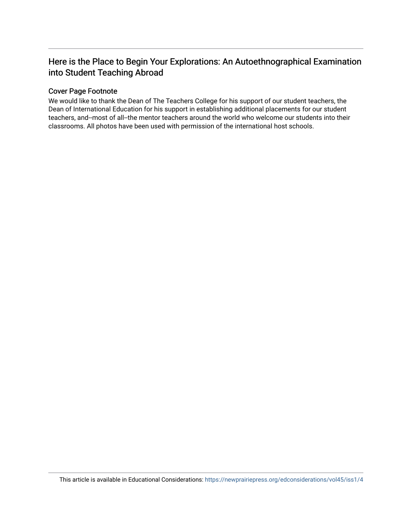# Here is the Place to Begin Your Explorations: An Autoethnographical Examination into Student Teaching Abroad

#### Cover Page Footnote

We would like to thank the Dean of The Teachers College for his support of our student teachers, the Dean of International Education for his support in establishing additional placements for our student teachers, and--most of all--the mentor teachers around the world who welcome our students into their classrooms. All photos have been used with permission of the international host schools.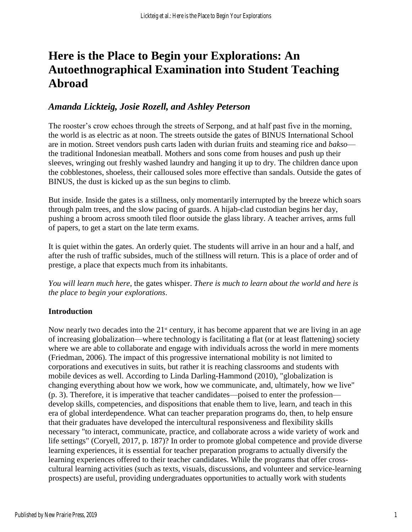# **Here is the Place to Begin your Explorations: An Autoethnographical Examination into Student Teaching Abroad**

# *Amanda Lickteig, Josie Rozell, and Ashley Peterson*

The rooster's crow echoes through the streets of Serpong, and at half past five in the morning, the world is as electric as at noon. The streets outside the gates of BINUS International School are in motion. Street vendors push carts laden with durian fruits and steaming rice and *bakso* the traditional Indonesian meatball. Mothers and sons come from houses and push up their sleeves, wringing out freshly washed laundry and hanging it up to dry. The children dance upon the cobblestones, shoeless, their calloused soles more effective than sandals. Outside the gates of BINUS, the dust is kicked up as the sun begins to climb.

But inside. Inside the gates is a stillness, only momentarily interrupted by the breeze which soars through palm trees, and the slow pacing of guards. A hijab-clad custodian begins her day, pushing a broom across smooth tiled floor outside the glass library. A teacher arrives, arms full of papers, to get a start on the late term exams.

It is quiet within the gates. An orderly quiet. The students will arrive in an hour and a half, and after the rush of traffic subsides, much of the stillness will return. This is a place of order and of prestige, a place that expects much from its inhabitants.

*You will learn much here*, the gates whisper. *There is much to learn about the world and here is the place to begin your explorations*.

## **Introduction**

Now nearly two decades into the  $21<sup>st</sup>$  century, it has become apparent that we are living in an age of increasing globalization—where technology is facilitating a flat (or at least flattening) society where we are able to collaborate and engage with individuals across the world in mere moments (Friedman, 2006). The impact of this progressive international mobility is not limited to corporations and executives in suits, but rather it is reaching classrooms and students with mobile devices as well. According to Linda Darling-Hammond (2010), "globalization is changing everything about how we work, how we communicate, and, ultimately, how we live" (p. 3). Therefore, it is imperative that teacher candidates—poised to enter the profession develop skills, competencies, and dispositions that enable them to live, learn, and teach in this era of global interdependence. What can teacher preparation programs do, then, to help ensure that their graduates have developed the intercultural responsiveness and flexibility skills necessary "to interact, communicate, practice, and collaborate across a wide variety of work and life settings" (Coryell, 2017, p. 187)? In order to promote global competence and provide diverse learning experiences, it is essential for teacher preparation programs to actually diversify the learning experiences offered to their teacher candidates. While the programs that offer crosscultural learning activities (such as texts, visuals, discussions, and volunteer and service-learning prospects) are useful, providing undergraduates opportunities to actually work with students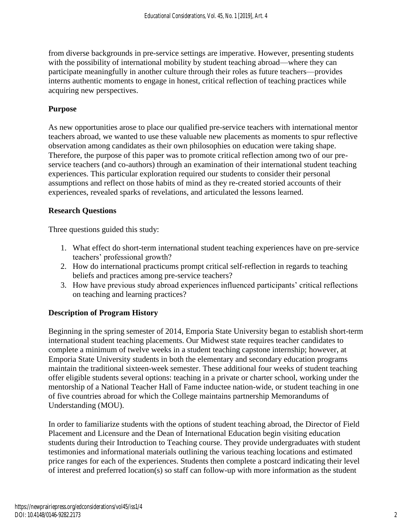from diverse backgrounds in pre-service settings are imperative. However, presenting students with the possibility of international mobility by student teaching abroad—where they can participate meaningfully in another culture through their roles as future teachers—provides interns authentic moments to engage in honest, critical reflection of teaching practices while acquiring new perspectives.

# **Purpose**

As new opportunities arose to place our qualified pre-service teachers with international mentor teachers abroad, we wanted to use these valuable new placements as moments to spur reflective observation among candidates as their own philosophies on education were taking shape. Therefore, the purpose of this paper was to promote critical reflection among two of our preservice teachers (and co-authors) through an examination of their international student teaching experiences. This particular exploration required our students to consider their personal assumptions and reflect on those habits of mind as they re-created storied accounts of their experiences, revealed sparks of revelations, and articulated the lessons learned.

## **Research Questions**

Three questions guided this study:

- 1. What effect do short-term international student teaching experiences have on pre-service teachers' professional growth?
- 2. How do international practicums prompt critical self-reflection in regards to teaching beliefs and practices among pre-service teachers?
- 3. How have previous study abroad experiences influenced participants' critical reflections on teaching and learning practices?

## **Description of Program History**

Beginning in the spring semester of 2014, Emporia State University began to establish short-term international student teaching placements. Our Midwest state requires teacher candidates to complete a minimum of twelve weeks in a student teaching capstone internship; however, at Emporia State University students in both the elementary and secondary education programs maintain the traditional sixteen-week semester. These additional four weeks of student teaching offer eligible students several options: teaching in a private or charter school, working under the mentorship of a National Teacher Hall of Fame inductee nation-wide, or student teaching in one of five countries abroad for which the College maintains partnership Memorandums of Understanding (MOU).

In order to familiarize students with the options of student teaching abroad, the Director of Field Placement and Licensure and the Dean of International Education begin visiting education students during their Introduction to Teaching course. They provide undergraduates with student testimonies and informational materials outlining the various teaching locations and estimated price ranges for each of the experiences. Students then complete a postcard indicating their level of interest and preferred location(s) so staff can follow-up with more information as the student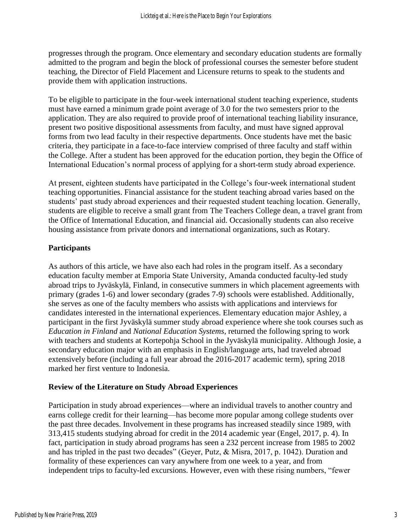progresses through the program. Once elementary and secondary education students are formally admitted to the program and begin the block of professional courses the semester before student teaching, the Director of Field Placement and Licensure returns to speak to the students and provide them with application instructions.

To be eligible to participate in the four-week international student teaching experience, students must have earned a minimum grade point average of 3.0 for the two semesters prior to the application. They are also required to provide proof of international teaching liability insurance, present two positive dispositional assessments from faculty, and must have signed approval forms from two lead faculty in their respective departments. Once students have met the basic criteria, they participate in a face-to-face interview comprised of three faculty and staff within the College. After a student has been approved for the education portion, they begin the Office of International Education's normal process of applying for a short-term study abroad experience.

At present, eighteen students have participated in the College's four-week international student teaching opportunities. Financial assistance for the student teaching abroad varies based on the students' past study abroad experiences and their requested student teaching location. Generally, students are eligible to receive a small grant from The Teachers College dean, a travel grant from the Office of International Education, and financial aid. Occasionally students can also receive housing assistance from private donors and international organizations, such as Rotary.

## **Participants**

As authors of this article, we have also each had roles in the program itself. As a secondary education faculty member at Emporia State University, Amanda conducted faculty-led study abroad trips to Jyväskylä, Finland, in consecutive summers in which placement agreements with primary (grades 1-6) and lower secondary (grades 7-9) schools were established. Additionally, she serves as one of the faculty members who assists with applications and interviews for candidates interested in the international experiences. Elementary education major Ashley, a participant in the first Jyväskylä summer study abroad experience where she took courses such as *Education in Finland* and *National Education Systems*, returned the following spring to work with teachers and students at Kortepohja School in the Jyväskylä municipality. Although Josie, a secondary education major with an emphasis in English/language arts, had traveled abroad extensively before (including a full year abroad the 2016-2017 academic term), spring 2018 marked her first venture to Indonesia.

## **Review of the Literature on Study Abroad Experiences**

Participation in study abroad experiences—where an individual travels to another country and earns college credit for their learning—has become more popular among college students over the past three decades. Involvement in these programs has increased steadily since 1989, with 313,415 students studying abroad for credit in the 2014 academic year (Engel, 2017, p. 4). In fact, participation in study abroad programs has seen a 232 percent increase from 1985 to 2002 and has tripled in the past two decades" (Geyer, Putz, & Misra, 2017, p. 1042). Duration and formality of these experiences can vary anywhere from one week to a year, and from independent trips to faculty-led excursions. However, even with these rising numbers, "fewer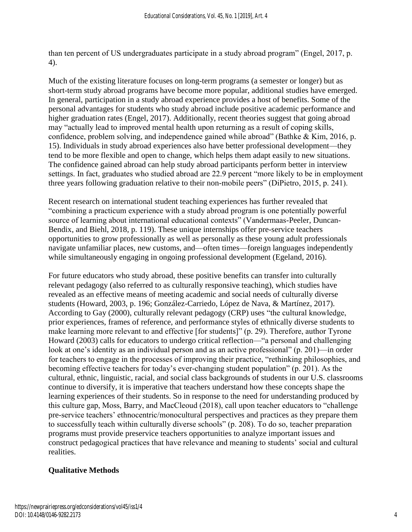than ten percent of US undergraduates participate in a study abroad program" (Engel, 2017, p. 4).

Much of the existing literature focuses on long-term programs (a semester or longer) but as short-term study abroad programs have become more popular, additional studies have emerged. In general, participation in a study abroad experience provides a host of benefits. Some of the personal advantages for students who study abroad include positive academic performance and higher graduation rates (Engel, 2017). Additionally, recent theories suggest that going abroad may "actually lead to improved mental health upon returning as a result of coping skills, confidence, problem solving, and independence gained while abroad" (Bathke & Kim, 2016, p. 15). Individuals in study abroad experiences also have better professional development—they tend to be more flexible and open to change, which helps them adapt easily to new situations. The confidence gained abroad can help study abroad participants perform better in interview settings. In fact, graduates who studied abroad are 22.9 percent "more likely to be in employment three years following graduation relative to their non-mobile peers" (DiPietro, 2015, p. 241).

Recent research on international student teaching experiences has further revealed that "combining a practicum experience with a study abroad program is one potentially powerful source of learning about international educational contexts" (Vandermaas-Peeler, Duncan-Bendix, and Biehl, 2018, p. 119). These unique internships offer pre-service teachers opportunities to grow professionally as well as personally as these young adult professionals navigate unfamiliar places, new customs, and—often times—foreign languages independently while simultaneously engaging in ongoing professional development (Egeland, 2016).

For future educators who study abroad, these positive benefits can transfer into culturally relevant pedagogy (also referred to as culturally responsive teaching), which studies have revealed as an effective means of meeting academic and social needs of culturally diverse students (Howard, 2003, p. 196; González-Carriedo, López de Nava, & Martínez, 2017). According to Gay (2000), culturally relevant pedagogy (CRP) uses "the cultural knowledge, prior experiences, frames of reference, and performance styles of ethnically diverse students to make learning more relevant to and effective [for students]" (p. 29). Therefore, author Tyrone Howard (2003) calls for educators to undergo critical reflection—"a personal and challenging look at one's identity as an individual person and as an active professional" (p. 201)—in order for teachers to engage in the processes of improving their practice, "rethinking philosophies, and becoming effective teachers for today's ever-changing student population" (p. 201). As the cultural, ethnic, linguistic, racial, and social class backgrounds of students in our U.S. classrooms continue to diversify, it is imperative that teachers understand how these concepts shape the learning experiences of their students. So in response to the need for understanding produced by this culture gap, Moss, Barry, and MacCleoud (2018), call upon teacher educators to "challenge pre-service teachers' ethnocentric/monocultural perspectives and practices as they prepare them to successfully teach within culturally diverse schools" (p. 208). To do so, teacher preparation programs must provide preservice teachers opportunities to analyze important issues and construct pedagogical practices that have relevance and meaning to students' social and cultural realities.

# **Qualitative Methods**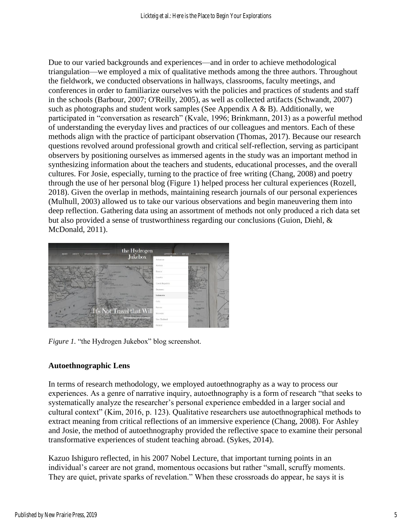Due to our varied backgrounds and experiences—and in order to achieve methodological triangulation—we employed a mix of qualitative methods among the three authors. Throughout the fieldwork, we conducted observations in hallways, classrooms, faculty meetings, and conferences in order to familiarize ourselves with the policies and practices of students and staff in the schools (Barbour, 2007; O'Reilly, 2005), as well as collected artifacts (Schwandt, 2007) such as photographs and student work samples (See Appendix  $A \& B$ ). Additionally, we participated in "conversation as research" (Kvale, 1996; Brinkmann, 2013) as a powerful method of understanding the everyday lives and practices of our colleagues and mentors. Each of these methods align with the practice of participant observation (Thomas, 2017). Because our research questions revolved around professional growth and critical self-reflection, serving as participant observers by positioning ourselves as immersed agents in the study was an important method in synthesizing information about the teachers and students, educational processes, and the overall cultures. For Josie, especially, turning to the practice of free writing (Chang, 2008) and poetry through the use of her personal blog (Figure 1) helped process her cultural experiences (Rozell, 2018). Given the overlap in methods, maintaining research journals of our personal experiences (Mulhull, 2003) allowed us to take our various observations and begin maneuvering them into deep reflection. Gathering data using an assortment of methods not only produced a rich data set but also provided a sense of trustworthiness regarding our conclusions (Guion, Diehl, & McDonald, 2011).



*Figure 1.* "the Hydrogen Jukebox" blog screenshot.

## **Autoethnographic Lens**

In terms of research methodology, we employed autoethnography as a way to process our experiences. As a genre of narrative inquiry, autoethnography is a form of research "that seeks to systematically analyze the researcher's personal experience embedded in a larger social and cultural context" (Kim, 2016, p. 123). Qualitative researchers use autoethnographical methods to extract meaning from critical reflections of an immersive experience (Chang, 2008). For Ashley and Josie, the method of autoethnography provided the reflective space to examine their personal transformative experiences of student teaching abroad. (Sykes, 2014).

Kazuo Ishiguro reflected, in his 2007 Nobel Lecture, that important turning points in an individual's career are not grand, momentous occasions but rather "small, scruffy moments. They are quiet, private sparks of revelation." When these crossroads do appear, he says it is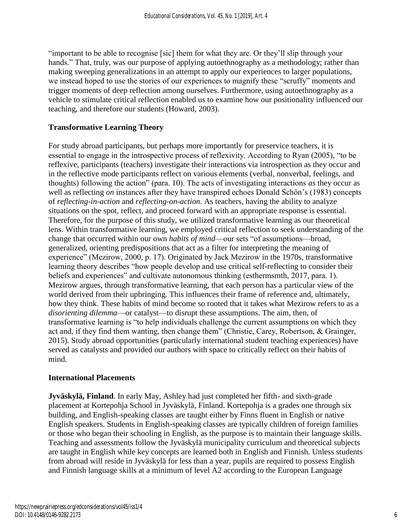"important to be able to recognise [sic] them for what they are. Or they'll slip through your hands." That, truly, was our purpose of applying autoethnography as a methodology; rather than making sweeping generalizations in an attempt to apply our experiences to larger populations, we instead hoped to use the stories of our experiences to magnify these "scruffy" moments and trigger moments of deep reflection among ourselves. Furthermore, using autoethnography as a vehicle to stimulate critical reflection enabled us to examine how our positionality influenced our teaching, and therefore our students (Howard, 2003).

# **Transformative Learning Theory**

For study abroad participants, but perhaps more importantly for preservice teachers, it is essential to engage in the introspective process of reflexivity. According to Ryan (2005), "to be reflexive, participants (teachers) investigate their interactions via introspection as they occur and in the reflective mode participants reflect on various elements (verbal, nonverbal, feelings, and thoughts) following the action" (para. 10). The acts of investigating interactions *as* they occur as well as reflecting *on* instances after they have transpired echoes Donald Schön's (1983) concepts of *reflecting-in-action* and *reflecting-on-action*. As teachers, having the ability to analyze situations on the spot, reflect, and proceed forward with an appropriate response is essential. Therefore, for the purpose of this study, we utilized transformative learning as our theoretical lens. Within transformative learning, we employed critical reflection to seek understanding of the change that occurred within our own *habits of mind*—our sets "of assumptions—broad, generalized, orienting predispositions that act as a filter for interpreting the meaning of experience" (Mezirow, 2000, p. 17). Originated by Jack Mezirow in the 1970s, transformative learning theory describes "how people develop and use critical self-reflecting to consider their beliefs and experiences" and cultivate autonomous thinking (esthermsmth, 2017, para. 1). Mezirow argues, through transformative learning, that each person has a particular view of the world derived from their upbringing. This influences their frame of reference and, ultimately, how they think. These habits of mind become so rooted that it takes what Mezirow refers to as a *disorienting dilemma*—or catalyst—to disrupt these assumptions. The aim, then, of transformative learning is "to help individuals challenge the current assumptions on which they act and, if they find them wanting, then change them" (Christie, Carey, Robertson, & Grainger, 2015). Study abroad opportunities (particularly international student teaching experiences) have served as catalysts and provided our authors with space to critically reflect on their habits of mind.

### **International Placements**

**Jyväskylä, Finland**. In early May, Ashley had just completed her fifth- and sixth-grade placement at Kortepohja School in Jyväskylä, Finland. Kortepohja is a grades one through six building, and English-speaking classes are taught either by Finns fluent in English or native English speakers. Students in English-speaking classes are typically children of foreign families or those who began their schooling in English, as the purpose is to maintain their language skills. Teaching and assessments follow the Jyväskylä municipality curriculum and theoretical subjects are taught in English while key concepts are learned both in English and Finnish. Unless students from abroad will reside in Jyväskylä for less than a year, pupils are required to possess English and Finnish language skills at a minimum of level A2 according to the European Language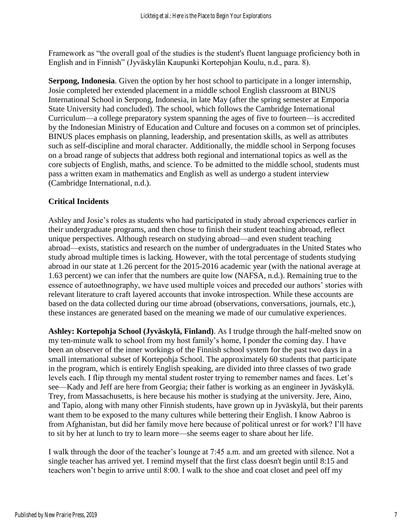Framework as "the overall goal of the studies is the student's fluent language proficiency both in English and in Finnish" (Jyväskylän Kaupunki Kortepohjan Koulu, n.d., para. 8).

**Serpong, Indonesia**. Given the option by her host school to participate in a longer internship, Josie completed her extended placement in a middle school English classroom at BINUS International School in Serpong, Indonesia, in late May (after the spring semester at Emporia State University had concluded). The school, which follows the Cambridge International Curriculum—a college preparatory system spanning the ages of five to fourteen—is accredited by the Indonesian Ministry of Education and Culture and focuses on a common set of principles. BINUS places emphasis on planning, leadership, and presentation skills, as well as attributes such as self-discipline and moral character. Additionally, the middle school in Serpong focuses on a broad range of subjects that address both regional and international topics as well as the core subjects of English, maths, and science. To be admitted to the middle school, students must pass a written exam in mathematics and English as well as undergo a student interview (Cambridge International, n.d.).

## **Critical Incidents**

Ashley and Josie's roles as students who had participated in study abroad experiences earlier in their undergraduate programs, and then chose to finish their student teaching abroad, reflect unique perspectives. Although research on studying abroad—and even student teaching abroad—exists, statistics and research on the number of undergraduates in the United States who study abroad multiple times is lacking. However, with the total percentage of students studying abroad in our state at 1.26 percent for the 2015-2016 academic year (with the national average at 1.63 percent) we can infer that the numbers are quite low (NAFSA, n.d.). Remaining true to the essence of autoethnography, we have used multiple voices and preceded our authors' stories with relevant literature to craft layered accounts that invoke introspection. While these accounts are based on the data collected during our time abroad (observations, conversations, journals, etc.), these instances are generated based on the meaning we made of our cumulative experiences.

**Ashley: Kortepohja School (Jyväskylä, Finland)**. As I trudge through the half-melted snow on my ten-minute walk to school from my host family's home, I ponder the coming day. I have been an observer of the inner workings of the Finnish school system for the past two days in a small international subset of Kortepohja School. The approximately 60 students that participate in the program, which is entirely English speaking, are divided into three classes of two grade levels each. I flip through my mental student roster trying to remember names and faces. Let's see—Kady and Jeff are here from Georgia; their father is working as an engineer in Jyväskylä. Trey, from Massachusetts, is here because his mother is studying at the university. Jere, Aino, and Tapio, along with many other Finnish students, have grown up in Jyväskylä, but their parents want them to be exposed to the many cultures while bettering their English. I know Aabroo is from Afghanistan, but did her family move here because of political unrest or for work? I'll have to sit by her at lunch to try to learn more—she seems eager to share about her life.

I walk through the door of the teacher's lounge at 7:45 a.m. and am greeted with silence. Not a single teacher has arrived yet. I remind myself that the first class doesn't begin until 8:15 and teachers won't begin to arrive until 8:00. I walk to the shoe and coat closet and peel off my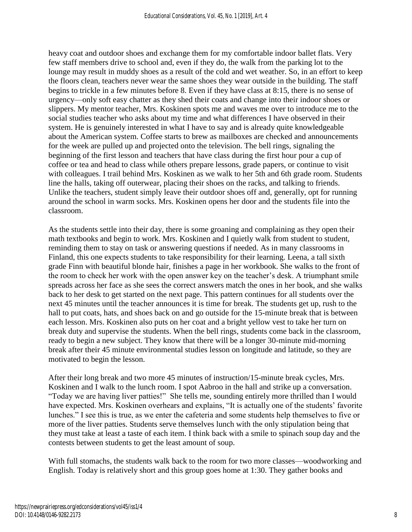heavy coat and outdoor shoes and exchange them for my comfortable indoor ballet flats. Very few staff members drive to school and, even if they do, the walk from the parking lot to the lounge may result in muddy shoes as a result of the cold and wet weather. So, in an effort to keep the floors clean, teachers never wear the same shoes they wear outside in the building. The staff begins to trickle in a few minutes before 8. Even if they have class at 8:15, there is no sense of urgency—only soft easy chatter as they shed their coats and change into their indoor shoes or slippers. My mentor teacher, Mrs. Koskinen spots me and waves me over to introduce me to the social studies teacher who asks about my time and what differences I have observed in their system. He is genuinely interested in what I have to say and is already quite knowledgeable about the American system. Coffee starts to brew as mailboxes are checked and announcements for the week are pulled up and projected onto the television. The bell rings, signaling the beginning of the first lesson and teachers that have class during the first hour pour a cup of coffee or tea and head to class while others prepare lessons, grade papers, or continue to visit with colleagues. I trail behind Mrs. Koskinen as we walk to her 5th and 6th grade room. Students line the halls, taking off outerwear, placing their shoes on the racks, and talking to friends. Unlike the teachers, student simply leave their outdoor shoes off and, generally, opt for running around the school in warm socks. Mrs. Koskinen opens her door and the students file into the classroom.

As the students settle into their day, there is some groaning and complaining as they open their math textbooks and begin to work. Mrs. Koskinen and I quietly walk from student to student, reminding them to stay on task or answering questions if needed. As in many classrooms in Finland, this one expects students to take responsibility for their learning. Leena, a tall sixth grade Finn with beautiful blonde hair, finishes a page in her workbook. She walks to the front of the room to check her work with the open answer key on the teacher's desk. A triumphant smile spreads across her face as she sees the correct answers match the ones in her book, and she walks back to her desk to get started on the next page. This pattern continues for all students over the next 45 minutes until the teacher announces it is time for break. The students get up, rush to the hall to put coats, hats, and shoes back on and go outside for the 15-minute break that is between each lesson. Mrs. Koskinen also puts on her coat and a bright yellow vest to take her turn on break duty and supervise the students. When the bell rings, students come back in the classroom, ready to begin a new subject. They know that there will be a longer 30-minute mid-morning break after their 45 minute environmental studies lesson on longitude and latitude, so they are motivated to begin the lesson.

After their long break and two more 45 minutes of instruction/15-minute break cycles, Mrs. Koskinen and I walk to the lunch room. I spot Aabroo in the hall and strike up a conversation. "Today we are having liver patties!" She tells me, sounding entirely more thrilled than I would have expected. Mrs. Koskinen overhears and explains, "It is actually one of the students' favorite lunches." I see this is true, as we enter the cafeteria and some students help themselves to five or more of the liver patties. Students serve themselves lunch with the only stipulation being that they must take at least a taste of each item. I think back with a smile to spinach soup day and the contests between students to get the least amount of soup.

With full stomachs, the students walk back to the room for two more classes—woodworking and English. Today is relatively short and this group goes home at 1:30. They gather books and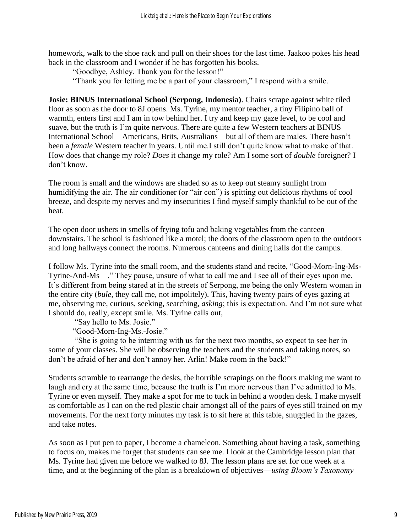homework, walk to the shoe rack and pull on their shoes for the last time. Jaakoo pokes his head back in the classroom and I wonder if he has forgotten his books.

"Goodbye, Ashley. Thank you for the lesson!"

"Thank you for letting me be a part of your classroom," I respond with a smile.

**Josie: BINUS International School (Serpong, Indonesia)**. Chairs scrape against white tiled floor as soon as the door to 8J opens. Ms. Tyrine, my mentor teacher, a tiny Filipino ball of warmth, enters first and I am in tow behind her. I try and keep my gaze level, to be cool and suave, but the truth is I'm quite nervous. There are quite a few Western teachers at BINUS International School—Americans, Brits, Australians—but all of them are males. There hasn't been a *female* Western teacher in years. Until me.I still don't quite know what to make of that. How does that change my role? *Does* it change my role? Am I some sort of *double* foreigner? I don't know.

The room is small and the windows are shaded so as to keep out steamy sunlight from humidifying the air. The air conditioner (or "air con") is spitting out delicious rhythms of cool breeze, and despite my nerves and my insecurities I find myself simply thankful to be out of the heat.

The open door ushers in smells of frying tofu and baking vegetables from the canteen downstairs. The school is fashioned like a motel; the doors of the classroom open to the outdoors and long hallways connect the rooms. Numerous canteens and dining halls dot the campus.

I follow Ms. Tyrine into the small room, and the students stand and recite, "Good-Morn-Ing-Ms-Tyrine-And-Ms—." They pause, unsure of what to call me and I see all of their eyes upon me. It's different from being stared at in the streets of Serpong, me being the only Western woman in the entire city (*bule,* they call me, not impolitely). This, having twenty pairs of eyes gazing at me, observing me, curious, seeking, searching, *asking*; this is expectation. And I'm not sure what I should do, really, except smile. Ms. Tyrine calls out,

"Say hello to Ms. Josie."

"Good-Morn-Ing-Ms.-Josie."

"She is going to be interning with us for the next two months, so expect to see her in some of your classes. She will be observing the teachers and the students and taking notes, so don't be afraid of her and don't annoy her. Arlin! Make room in the back!"

Students scramble to rearrange the desks, the horrible scrapings on the floors making me want to laugh and cry at the same time, because the truth is I'm more nervous than I've admitted to Ms. Tyrine or even myself. They make a spot for me to tuck in behind a wooden desk. I make myself as comfortable as I can on the red plastic chair amongst all of the pairs of eyes still trained on my movements. For the next forty minutes my task is to sit here at this table, snuggled in the gazes, and take notes.

As soon as I put pen to paper, I become a chameleon. Something about having a task, something to focus on, makes me forget that students can see me. I look at the Cambridge lesson plan that Ms. Tyrine had given me before we walked to 8J. The lesson plans are set for one week at a time, and at the beginning of the plan is a breakdown of objectives—*using Bloom's Taxonomy*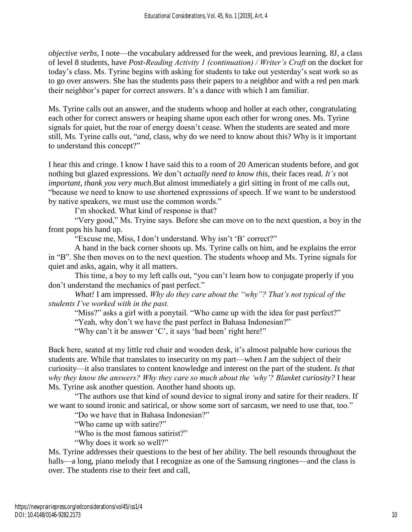*objective verbs,* I note—the vocabulary addressed for the week, and previous learning. 8J, a class of level 8 students, have *Post-Reading Activity 1 (continuation) / Writer's Craft* on the docket for today's class. Ms. Tyrine begins with asking for students to take out yesterday's seat work so as to go over answers. She has the students pass their papers to a neighbor and with a red pen mark their neighbor's paper for correct answers. It's a dance with which I am familiar.

Ms. Tyrine calls out an answer, and the students whoop and holler at each other, congratulating each other for correct answers or heaping shame upon each other for wrong ones. Ms. Tyrine signals for quiet, but the roar of energy doesn't cease. When the students are seated and more still, Ms. Tyrine calls out, "*and,* class, why do we need to know about this? Why is it important to understand this concept?"

I hear this and cringe. I know I have said this to a room of 20 American students before, and got nothing but glazed expressions. *We* don't *actually need to know this,* their faces read. *It's* not *important, thank you very much.*But almost immediately a girl sitting in front of me calls out, "because we need to know to use shortened expressions of speech. If we want to be understood by native speakers, we must use the common words."

I'm shocked. What kind of response is that?

"Very good," Ms. Tryine says. Before she can move on to the next question, a boy in the front pops his hand up.

"Excuse me, Miss, I don't understand. Why isn't 'B' correct?"

A hand in the back corner shoots up. Ms. Tyrine calls on him, and he explains the error in "B". She then moves on to the next question. The students whoop and Ms. Tyrine signals for quiet and asks, again, why it all matters.

This time, a boy to my left calls out, "you can't learn how to conjugate properly if you don't understand the mechanics of past perfect."

*What!* I am impressed. *Why do they care about the "why"? That's not typical of the students I've worked with in the past.*

"Miss?" asks a girl with a ponytail. "Who came up with the idea for past perfect?"

"Yeah, why don't we have the past perfect in Bahasa Indonesian?"

"Why can't it be answer 'C', it says 'had been' right here!"

Back here, seated at my little red chair and wooden desk, it's almost palpable how curious the students are. While that translates to insecurity on my part—when *I* am the subject of their curiosity—it also translates to content knowledge and interest on the part of the student. *Is that why they know the answers? Why they care so much about the 'why'? Blanket curiosity?* I hear Ms. Tyrine ask another question. Another hand shoots up.

"The authors use that kind of sound device to signal irony and satire for their readers. If we want to sound ironic and satirical, or show some sort of sarcasm, we need to use that, too."

"Do we have that in Bahasa Indonesian?"

"Who came up with satire?"

"Who is the most famous satirist?"

"Why does it work so well?"

Ms. Tyrine addresses their questions to the best of her ability. The bell resounds throughout the halls—a long, piano melody that I recognize as one of the Samsung ringtones—and the class is over. The students rise to their feet and call,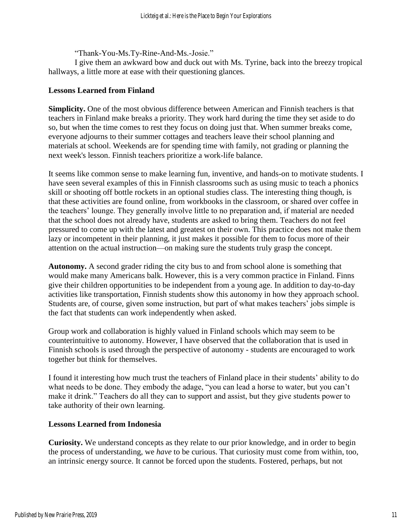"Thank-You-Ms.Ty-Rine-And-Ms.-Josie."

I give them an awkward bow and duck out with Ms. Tyrine, back into the breezy tropical hallways, a little more at ease with their questioning glances.

## **Lessons Learned from Finland**

**Simplicity.** One of the most obvious difference between American and Finnish teachers is that teachers in Finland make breaks a priority. They work hard during the time they set aside to do so, but when the time comes to rest they focus on doing just that. When summer breaks come, everyone adjourns to their summer cottages and teachers leave their school planning and materials at school. Weekends are for spending time with family, not grading or planning the next week's lesson. Finnish teachers prioritize a work-life balance.

It seems like common sense to make learning fun, inventive, and hands-on to motivate students. I have seen several examples of this in Finnish classrooms such as using music to teach a phonics skill or shooting off bottle rockets in an optional studies class. The interesting thing though, is that these activities are found online, from workbooks in the classroom, or shared over coffee in the teachers' lounge. They generally involve little to no preparation and, if material are needed that the school does not already have, students are asked to bring them. Teachers do not feel pressured to come up with the latest and greatest on their own. This practice does not make them lazy or incompetent in their planning, it just makes it possible for them to focus more of their attention on the actual instruction—on making sure the students truly grasp the concept.

**Autonomy.** A second grader riding the city bus to and from school alone is something that would make many Americans balk. However, this is a very common practice in Finland. Finns give their children opportunities to be independent from a young age. In addition to day-to-day activities like transportation, Finnish students show this autonomy in how they approach school. Students are, of course, given some instruction, but part of what makes teachers' jobs simple is the fact that students can work independently when asked.

Group work and collaboration is highly valued in Finland schools which may seem to be counterintuitive to autonomy. However, I have observed that the collaboration that is used in Finnish schools is used through the perspective of autonomy - students are encouraged to work together but think for themselves.

I found it interesting how much trust the teachers of Finland place in their students' ability to do what needs to be done. They embody the adage, "you can lead a horse to water, but you can't make it drink." Teachers do all they can to support and assist, but they give students power to take authority of their own learning.

### **Lessons Learned from Indonesia**

**Curiosity.** We understand concepts as they relate to our prior knowledge, and in order to begin the process of understanding, we *have* to be curious. That curiosity must come from within, too, an intrinsic energy source. It cannot be forced upon the students. Fostered, perhaps, but not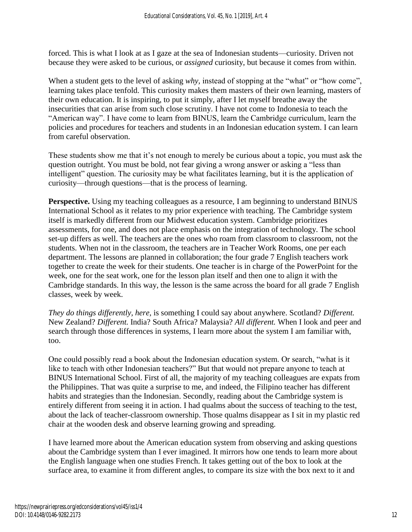forced. This is what I look at as I gaze at the sea of Indonesian students—curiosity. Driven not because they were asked to be curious, or *assigned* curiosity, but because it comes from within.

When a student gets to the level of asking *why*, instead of stopping at the "what" or "how come", learning takes place tenfold. This curiosity makes them masters of their own learning, masters of their own education. It is inspiring, to put it simply, after I let myself breathe away the insecurities that can arise from such close scrutiny. I have not come to Indonesia to teach the "American way". I have come to learn from BINUS, learn the Cambridge curriculum, learn the policies and procedures for teachers and students in an Indonesian education system. I can learn from careful observation.

These students show me that it's not enough to merely be curious about a topic, you must ask the question outright. You must be bold, not fear giving a wrong answer or asking a "less than intelligent" question. The curiosity may be what facilitates learning, but it is the application of curiosity—through questions—that is the process of learning.

**Perspective.** Using my teaching colleagues as a resource, I am beginning to understand BINUS International School as it relates to my prior experience with teaching. The Cambridge system itself is markedly different from our Midwest education system. Cambridge prioritizes assessments, for one, and does not place emphasis on the integration of technology. The school set-up differs as well. The teachers are the ones who roam from classroom to classroom, not the students. When not in the classroom, the teachers are in Teacher Work Rooms, one per each department. The lessons are planned in collaboration; the four grade 7 English teachers work together to create the week for their students. One teacher is in charge of the PowerPoint for the week, one for the seat work, one for the lesson plan itself and then one to align it with the Cambridge standards. In this way, the lesson is the same across the board for all grade 7 English classes, week by week.

*They do things differently, here,* is something I could say about anywhere. Scotland? *Different.*  New Zealand? *Different.* India? South Africa? Malaysia? *All different.* When I look and peer and search through those differences in systems, I learn more about the system I am familiar with, too.

One could possibly read a book about the Indonesian education system. Or search, "what is it like to teach with other Indonesian teachers?" But that would not prepare anyone to teach at BINUS International School. First of all, the majority of my teaching colleagues are expats from the Philippines. That was quite a surprise to me, and indeed, the Filipino teacher has different habits and strategies than the Indonesian. Secondly, reading about the Cambridge system is entirely different from seeing it in action. I had qualms about the success of teaching to the test, about the lack of teacher-classroom ownership. Those qualms disappear as I sit in my plastic red chair at the wooden desk and observe learning growing and spreading.

I have learned more about the American education system from observing and asking questions about the Cambridge system than I ever imagined. It mirrors how one tends to learn more about the English language when one studies French. It takes getting out of the box to look at the surface area, to examine it from different angles, to compare its size with the box next to it and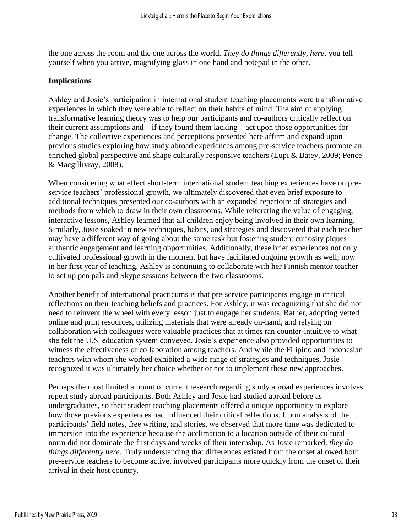the one across the room and the one across the world. *They do things differently, here,* you tell yourself when you arrive, magnifying glass in one hand and notepad in the other.

### **Implications**

Ashley and Josie's participation in international student teaching placements were transformative experiences in which they were able to reflect on their habits of mind. The aim of applying transformative learning theory was to help our participants and co-authors critically reflect on their current assumptions and—if they found them lacking—act upon those opportunities for change. The collective experiences and perceptions presented here affirm and expand upon previous studies exploring how study abroad experiences among pre-service teachers promote an enriched global perspective and shape culturally responsive teachers (Lupi & Batey, 2009; Pence & Macgillivray, 2008).

When considering what effect short-term international student teaching experiences have on preservice teachers' professional growth, we ultimately discovered that even brief exposure to additional techniques presented our co-authors with an expanded repertoire of strategies and methods from which to draw in their own classrooms. While reiterating the value of engaging, interactive lessons, Ashley learned that all children enjoy being involved in their own learning. Similarly, Josie soaked in new techniques, habits, and strategies and discovered that each teacher may have a different way of going about the same task but fostering student curiosity piques authentic engagement and learning opportunities. Additionally, these brief experiences not only cultivated professional growth in the moment but have facilitated ongoing growth as well; now in her first year of teaching, Ashley is continuing to collaborate with her Finnish mentor teacher to set up pen pals and Skype sessions between the two classrooms.

Another benefit of international practicums is that pre-service participants engage in critical reflections on their teaching beliefs and practices. For Ashley, it was recognizing that she did not need to reinvent the wheel with every lesson just to engage her students. Rather, adopting vetted online and print resources, utilizing materials that were already on-hand, and relying on collaboration with colleagues were valuable practices that at times ran counter-intuitive to what she felt the U.S. education system conveyed. Josie's experience also provided opportunities to witness the effectiveness of collaboration among teachers. And while the Filipino and Indonesian teachers with whom she worked exhibited a wide range of strategies and techniques, Josie recognized it was ultimately her choice whether or not to implement these new approaches.

Perhaps the most limited amount of current research regarding study abroad experiences involves repeat study abroad participants. Both Ashley and Josie had studied abroad before as undergraduates, so their student teaching placements offered a unique opportunity to explore how those previous experiences had influenced their critical reflections. Upon analysis of the participants' field notes, free writing, and stories, we observed that more time was dedicated to immersion into the experience because the acclimation to a location outside of their cultural norm did not dominate the first days and weeks of their internship. As Josie remarked, *they do things differently here*. Truly understanding that differences existed from the onset allowed both pre-service teachers to become active, involved participants more quickly from the onset of their arrival in their host country.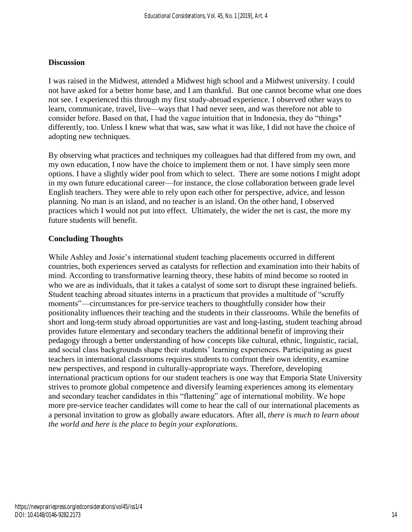## **Discussion**

I was raised in the Midwest, attended a Midwest high school and a Midwest university. I could not have asked for a better home base, and I am thankful. But one cannot become what one does not see. I experienced this through my first study-abroad experience. I observed other ways to learn, communicate, travel, live—ways that I had never seen, and was therefore not able to consider before. Based on that, I had the vague intuition that in Indonesia, they do "things" differently, too. Unless I knew what that was, saw what it was like, I did not have the choice of adopting new techniques.

By observing what practices and techniques my colleagues had that differed from my own, and my own education, I now have the choice to implement them or not. I have simply seen more options. I have a slightly wider pool from which to select. There are some notions I might adopt in my own future educational career—for instance, the close collaboration between grade level English teachers. They were able to rely upon each other for perspective, advice, and lesson planning. No man is an island, and no teacher is an island. On the other hand, I observed practices which I would not put into effect. Ultimately, the wider the net is cast, the more my future students will benefit.

## **Concluding Thoughts**

While Ashley and Josie's international student teaching placements occurred in different countries, both experiences served as catalysts for reflection and examination into their habits of mind. According to transformative learning theory, these habits of mind become so rooted in who we are as individuals, that it takes a catalyst of some sort to disrupt these ingrained beliefs. Student teaching abroad situates interns in a practicum that provides a multitude of "scruffy moments"—circumstances for pre-service teachers to thoughtfully consider how their positionality influences their teaching and the students in their classrooms. While the benefits of short and long-term study abroad opportunities are vast and long-lasting, student teaching abroad provides future elementary and secondary teachers the additional benefit of improving their pedagogy through a better understanding of how concepts like cultural, ethnic, linguistic, racial, and social class backgrounds shape their students' learning experiences. Participating as guest teachers in international classrooms requires students to confront their own identity, examine new perspectives, and respond in culturally-appropriate ways. Therefore, developing international practicum options for our student teachers is one way that Emporia State University strives to promote global competence and diversify learning experiences among its elementary and secondary teacher candidates in this "flattening" age of international mobility. We hope more pre-service teacher candidates will come to hear the call of our international placements as a personal invitation to grow as globally aware educators. After all, *there is much to learn about the world and here is the place to begin your explorations.*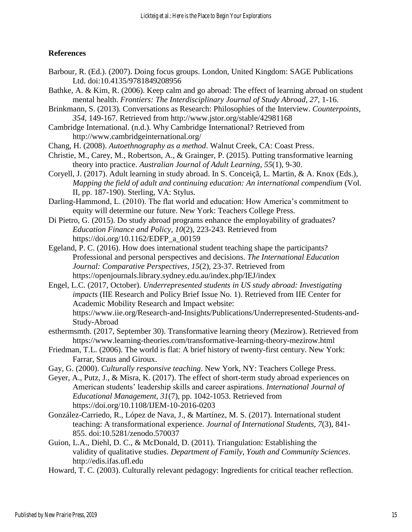## **References**

- Barbour, R. (Ed.). (2007). Doing focus groups. London, United Kingdom: SAGE Publications Ltd. doi:10.4135/9781849208956
- Bathke, A. & Kim, R. (2006). Keep calm and go abroad: The effect of learning abroad on student mental health. *Frontiers: The Interdisciplinary Journal of Study Abroad, 27*, 1-16.

Brinkmann, S. (2013). Conversations as Research: Philosophies of the Interview. *Counterpoints, 354*, 149-167. Retrieved from http://www.jstor.org/stable/42981168

Cambridge International. (n.d.). Why Cambridge International? Retrieved from http://www.cambridgeinternational.org/

Chang, H. (2008). *Autoethnography as a method*. Walnut Creek, CA: Coast Press.

- Christie, M., Carey, M., Robertson, A., & Grainger, P. (2015). Putting transformative learning theory into practice. *Australian Journal of Adult Learning, 55*(1), 9-30.
- Coryell, J. (2017). Adult learning in study abroad. In S. Conceiçã, L. Martin, & A. Knox (Eds.), *Mapping the field of adult and continuing education: An international compendium* (Vol. II, pp. 187-190). Sterling, VA: Stylus.

Darling-Hammond, L. (2010). The flat world and education: How America's commitment to equity will determine our future. New York: Teachers College Press.

- Di Pietro, G. (2015). Do study abroad programs enhance the employability of graduates? *Education Finance and Policy, 10*(2), 223-243. Retrieved from https://doi.org/10.1162/EDFP\_a\_00159
- Egeland, P. C. (2016). How does international student teaching shape the participants? Professional and personal perspectives and decisions. *The International Education Journal: Comparative Perspectives, 15*(2), 23-37. Retrieved from https://openjournals.library.sydney.edu.au/index.php/IEJ/index

Engel, L.C. (2017, October). *Underrepresented students in US study abroad: Investigating impacts* (IIE Research and Policy Brief Issue No. 1). Retrieved from IIE Center for Academic Mobility Research and Impact website: https://www.iie.org/Research-and-Insights/Publications/Underrepresented-Students-and-Study-Abroad

- esthermsmth. (2017, September 30). Transformative learning theory (Mezirow). Retrieved from https://www.learning-theories.com/transformative-learning-theory-mezirow.html
- Friedman, T.L. (2006). The world is flat: A brief history of twenty-first century. New York: Farrar, Straus and Giroux.
- Gay, G. (2000). *Culturally responsive teaching*. New York, NY: Teachers College Press.

Geyer, A., Putz, J., & Misra, K. (2017). The effect of short-term study abroad experiences on American students' leadership skills and career aspirations. *International Journal of Educational Management, 31*(7), pp. 1042-1053. Retrieved from https://doi.org/10.1108/IJEM-10-2016-0203

- González-Carriedo, R., López de Nava, J., & Martínez, M. S. (2017). International student teaching: A transformational experience. *Journal of International Students, 7*(3), 841- 855. doi:10.5281/zenodo.570037
- Guion, L.A., Diehl, D. C., & McDonald, D. (2011). Triangulation: Establishing the validity of qualitative studies. *Department of Family, Youth and Community Sciences*. http://edis.ifas.ufl.edu
- Howard, T. C. (2003). Culturally relevant pedagogy: Ingredients for critical teacher reflection.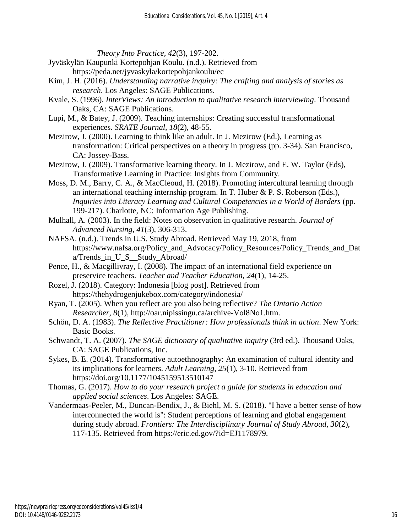*Theory Into Practice, 42*(3), 197-202.

- Jyväskylän Kaupunki Kortepohjan Koulu. (n.d.). Retrieved from https://peda.net/jyvaskyla/kortepohjankoulu/ec
- Kim, J. H. (2016). *Understanding narrative inquiry: The crafting and analysis of stories as research*. Los Angeles: SAGE Publications.
- Kvale, S. (1996). *InterViews: An introduction to qualitative research interviewing*. Thousand Oaks, CA: SAGE Publications.
- Lupi, M., & Batey, J. (2009). Teaching internships: Creating successful transformational experiences. *SRATE Journal, 18*(2), 48-55.
- Mezirow, J. (2000). Learning to think like an adult. In J. Mezirow (Ed.), Learning as transformation: Critical perspectives on a theory in progress (pp. 3-34). San Francisco, CA: Jossey-Bass.
- Mezirow, J. (2009). Transformative learning theory. In J. Mezirow, and E. W. Taylor (Eds), Transformative Learning in Practice: Insights from Community.
- Moss, D. M., Barry, C. A., & MacCleoud, H. (2018). Promoting intercultural learning through an international teaching internship program. In T. Huber & P. S. Roberson (Eds.), *Inquiries into Literacy Learning and Cultural Competencies in a World of Borders* (pp. 199-217). Charlotte, NC: Information Age Publishing.
- Mulhall, A. (2003). In the field: Notes on observation in qualitative research. *Journal of Advanced Nursing, 41*(3), 306-313.
- NAFSA. (n.d.). Trends in U.S. Study Abroad. Retrieved May 19, 2018, from https://www.nafsa.org/Policy\_and\_Advocacy/Policy\_Resources/Policy\_Trends\_and\_Dat a/Trends\_in\_U\_S\_\_Study\_Abroad/
- Pence, H., & Macgillivray, I. (2008). The impact of an international field experience on preservice teachers. *Teacher and Teacher Education, 24*(1), 14-25.
- Rozel, J. (2018). Category: Indonesia [blog post]. Retrieved from https://thehydrogenjukebox.com/category/indonesia/
- Ryan, T. (2005). When you reflect are you also being reflective? *The Ontario Action Researcher, 8*(1), http://oar.nipissingu.ca/archive-Vol8No1.htm.
- Schön, D. A. (1983). *The Reflective Practitioner: How professionals think in action*. New York: Basic Books.
- Schwandt, T. A. (2007). *The SAGE dictionary of qualitative inquiry* (3rd ed.). Thousand Oaks, CA: SAGE Publications, Inc.
- Sykes, B. E. (2014). Transformative autoethnography: An examination of cultural identity and its implications for learners. *Adult Learning, 25*(1), 3-10. Retrieved from https://doi.org/10.1177/1045159513510147
- Thomas, G. (2017). *How to do your research project a guide for students in education and applied social sciences*. Los Angeles: SAGE.
- Vandermaas-Peeler, M., Duncan-Bendix, J., & Biehl, M. S. (2018). "I have a better sense of how interconnected the world is": Student perceptions of learning and global engagement during study abroad. *Frontiers: The Interdisciplinary Journal of Study Abroad, 30*(2), 117-135. Retrieved from https://eric.ed.gov/?id=EJ1178979.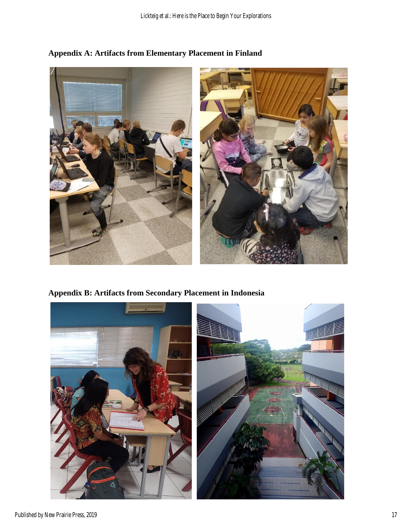

**Appendix A: Artifacts from Elementary Placement in Finland**

**Appendix B: Artifacts from Secondary Placement in Indonesia**